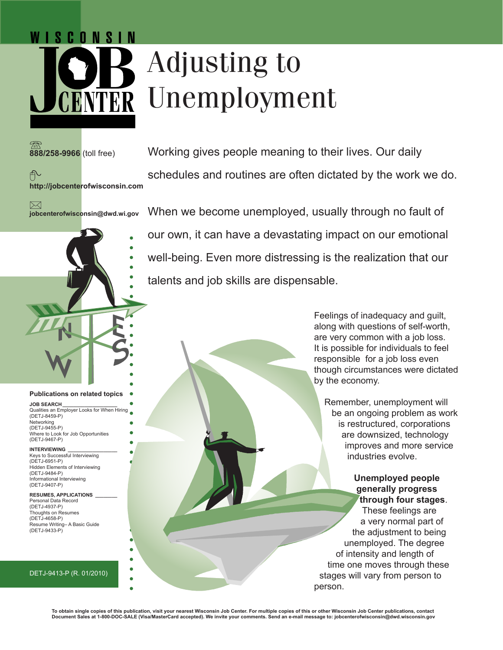# Adjusting to NTER Unemployment

talents and job skills are dispensable.

**888/258-9966** (toll free)

N I S C N N S I N



Working gives people meaning to their lives. Our daily schedules and routines are often dictated by the work we do.

 $\boxtimes$ **jobcenterofwisconsin@dwd.wi.gov**

When we become unemployed, usually through no fault of

our own, it can have a devastating impact on our emotional

well-being. Even more distressing is the realization that our

#### **Publications on related topics**

**JOB SEARCH\_\_\_\_\_\_\_\_\_\_\_\_\_\_\_\_\_\_\_\_** Qualities an Employer Looks for When Hiring (DETJ-8459-P) Networking (DETJ-9455-P) Where to Look for Job Opportunities (DETJ-9467-P)

#### **INTERVIEWING**

Keys to Successful Interviewing (DETJ-6951-P) Hidden Elements of Interviewing (DETJ-9484-P) Informational Interviewing (DETJ-9407-P)

**RESUMES, APPLICATIONS \_\_\_\_\_\_\_\_** Personal Data Record

(DETJ-4937-P) Thoughts on Resumes (DETJ-4658-P) Resume Writing– A Basic Guide (DETJ-9433-P)

#### DETJ-9413-P (R. 01/2010)

Feelings of inadequacy and guilt, along with questions of self-worth, are very common with a job loss. It is possible for individuals to feel responsible for a job loss even though circumstances were dictated by the economy.

Remember, unemployment will be an ongoing problem as work is restructured, corporations are downsized, technology improves and more service industries evolve.

**Unemployed people generally progress through four stages**. These feelings are a very normal part of the adjustment to being unemployed. The degree of intensity and length of time one moves through these stages will vary from person to person.

**To obtain single copies of this publication, visit your nearest Wisconsin Job Center. For multiple copies of this or other Wisconsin Job Center publications, contact Document Sales at 1-800-DOC-SALE (Visa/MasterCard accepted). We invite your comments. Send an e-mail message to: jobcenterofwisconsin@dwd.wisconsin.gov**